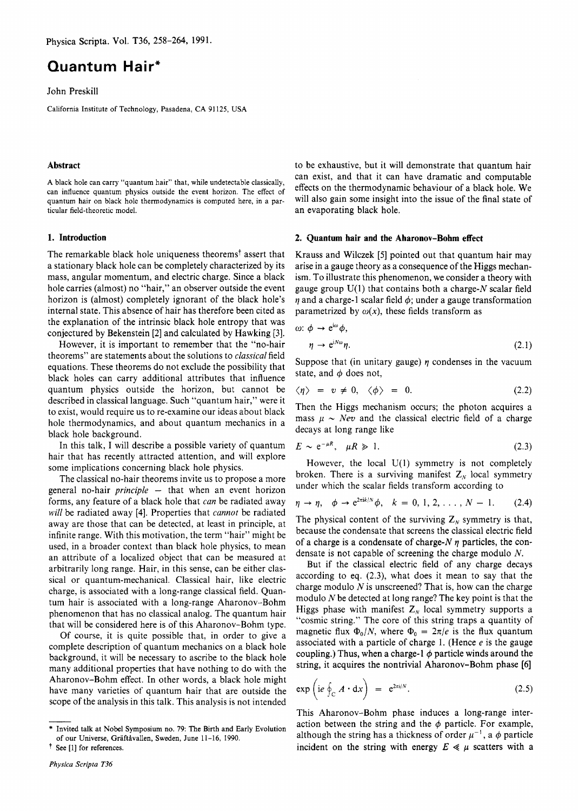# **Quantum Hair\***

John Preskill

California Institute of Technology, Pasadena, **CA** 91 125, USA

### Abstract

**A** black hole can carry "quantum hair" that, while undetectable classically, can influence quantum physics outside the event horizon. The effect of quantum hair on black hole thermodynamics is computed here, in a particular field-theoretic model.

The remarkable black hole uniqueness theoremsf assert that a stationary black hole can be completely characterized by its mass, angular momentum, and electric charge. Since a black hole carries (almost) no "hair," an observer outside the event horizon is (almost) completely ignorant of the black hole's internal state. This absence of hair has therefore been cited as the explanation of the intrinsic black hole entropy that was conjectured by Bekenstein [2] and calculated by Hawking *[3].* 

However, it is important to remember that the "no-hair theorems" are statements about the solutions to *classical* field equations. These theorems do not exclude the possibility that black holes can carry additional attributes that influence quantum physics outside the horizon, but cannot be described in classical language. Such "quantum hair," were it to exist, would require us to re-examine our ideas about black hole thermodynamics, and about quantum mechanics in a black hole background.

In this talk, I will describe a possible variety of quantum hair that has recently attracted attention, and will explore some implications concerning black hole physics.

The classical no-hair theorems invite us to propose a more general no-hair *principle* - that when an event horizon forms, any feature of a black hole that *can* be radiated away *will* be radiated away [4]. Properties that *cannot* be radiated away are those that can be detected, at least in principle, at infinite range. With this motivation, the term "hair" might be used, in a broader context than black hole physics, to mean an attribute of a localized object that can be measured at arbitrarily long range. Hair, in this sense, can be either classical or quantum-mechanical. Classical hair, like electric charge, is associated with a long-range classical field. Quantum hair is associated with a long-range Aharonov-Bohm phenomenon that has no classical analog. The quantum hair that will be considered here is of this Aharonov-Bohm type.

Of course, it is quite possible that, in order to give a complete description of quantum mechanics on a black hole background, it will be necessary to ascribe to the black hole many additional properties that have nothing to do with the Aharonov-Bohm effect. In other words, a black hole might have many varieties of quantum hair that are outside the scope of the analysis in this talk. This analysis is not intended background,<br>many additional<br>have many<br>scope of the<br>many scope of the state of sure Universe

to be exhaustive, but it will demonstrate that quantum hair can exist, and that it can have dramatic and computable effects on the thermodynamic behaviour of a black hole. We will also gain some insight into the issue of the final state of an evaporating black hole.

#### 1. Introduction **2.** Quantum hair and the Aharonov-Bohm effect

Krauss and Wilczek [5] pointed out that quantum hair may arise in a gauge theory as a consequence of the Higgs mechanism. To illustrate this phenomenon, we consider a theory with gauge group  $U(1)$  that contains both a charge-N scalar field  $\eta$  and a charge-1 scalar field  $\phi$ ; under a gauge transformation parametrized by  $\omega(x)$ , these fields transform as

$$
\omega: \phi \to e^{i\omega}\phi,
$$
  
\n
$$
\eta \to e^{iN\omega}\eta.
$$
\n(2.1)

Suppose that (in unitary gauge)  $\eta$  condenses in the vacuum state, and  $\phi$  does not,

$$
\langle \eta \rangle = v \neq 0, \quad \langle \phi \rangle = 0. \tag{2.2}
$$

Then the Higgs mechanism occurs; the photon acquires a mass  $\mu \sim \text{N}ev$  and the classical electric field of a charge decays at long range like

$$
E \sim e^{-\mu R}, \quad \mu R \gg 1. \tag{2.3}
$$

However, the local  $U(1)$  symmetry is not completely broken. There is a surviving manifest  $Z_N$  local symmetry under which the scalar fields transform according to

$$
\eta \to \eta, \quad \phi \to e^{2\pi i k/N} \phi, \quad k = 0, 1, 2, \ldots, N - 1. \tag{2.4}
$$

The physical content of the surviving  $Z_N$  symmetry is that, because the condensate that screens the classical electric field of a charge is a condensate of charge- $N$   $\eta$  particles, the condensate is not capable of screening the charge modulo *N.* 

But if the classical electric field of any charge decays according to eq. *(2.3),* what does it mean to say that the charge modulo *N* is unscreened? That is, how can the charge modulo *N* be detected at long range? The key point is that the Higgs phase with manifest  $Z_N$  local symmetry supports a "cosmic string." The core of this string traps a quantity of magnetic flux  $\Phi_0/N$ , where  $\Phi_0 = 2\pi/e$  is the flux quantum associated with a particle of charge 1. (Hence  $e$  is the gauge coupling.) Thus, when a charge-1  $\phi$  particle winds around the string, it acquires the nontrivial Aharonov-Bohm phase [6]

$$
\exp\left(i e \oint_C A \cdot dx\right) = e^{2\pi i/N}.
$$
 (2.5)

This Aharonov-Bohm phase induces a long-range interaction between the string and the  $\phi$  particle. For example, although the string has a thickness of order  $\mu^{-1}$ , a  $\phi$  particle incident on the string with energy  $E \ll \mu$  scatters with a

<sup>\*</sup> Invited talk at Nobel Symposium no. 79: The Birth and Early Evolution of our Universe, Gräftåvallen, Sweden, June 11-16, 1990.

t See [I] for references.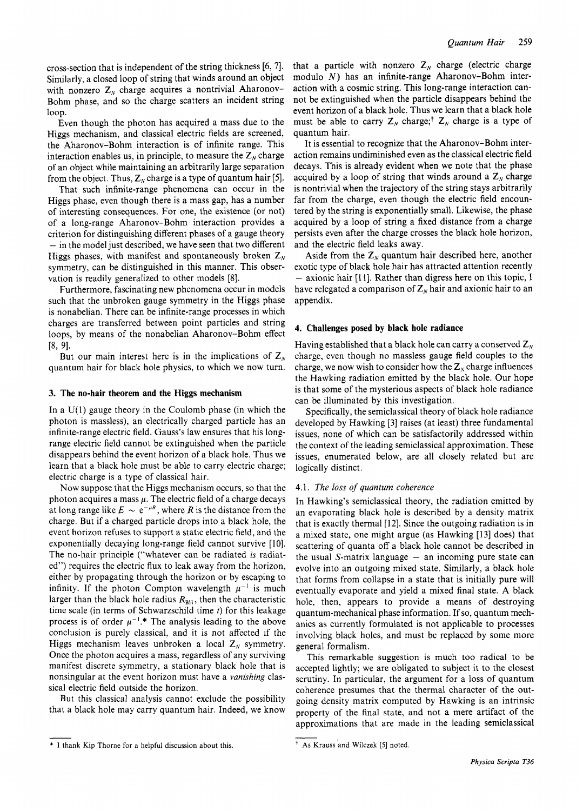cross-section that is independent of the string thickness *[6,* **71.**  Similarly, a closed loop of string that winds around an object with nonzero  $Z_N$  charge acquires a nontrivial Aharonov-Bohm phase, and so the charge scatters an incident string loop.

Even though the photon has acquired a mass due to the Higgs mechanism, and classical electric fields are screened, the Aharonov-Bohm interaction is of infinite range. This interaction enables us, in principle, to measure the  $Z_N$  charge of an object while maintaining an arbitrarily large separation from the object. Thus,  $Z_N$  charge is a type of quantum hair [5].

That such infinite-range phenomena can occur in the Higgs phase, even though there is a mass gap, has a number of interesting consequences. For one, the existence (or not) of a long-range Aharonov-Bohm interaction provides a criterion for distinguishing different phases of a gauge theory - in the model just described, we have seen that two different Higgs phases, with manifest and spontaneously broken  $Z_N$ symmetry, can be distinguished in this manner. This observation is readily generalized to other models [8].

Furthermore, fascinating new phenomena occur in models such that the unbroken gauge symmetry in the Higgs phase is nonabelian. There can be infinite-range processes in which charges are transferred between point particles and string loops, by means of the nonabelian Aharonov-Bohm effect  $[8, 9].$ 

But our main interest here is in the implications of  $Z_N$ quantum hair for black hole physics, to which we now turn.

# **3. The no-hair theorem and the Higgs mechanism**

In a  $U(1)$  gauge theory in the Coulomb phase (in which the photon is massless), an electrically charged particle has an infinite-range electric field. Gauss's law ensures that his longrange electric field cannot be extinguished when the particle disappears behind the event horizon of a black hole. Thus we learn that a black hole must be able to carry electric charge; electric charge is a type of classical hair.

Now suppose that the Higgs mechanism occurs, so that the photon acquires a mass  $\mu$ . The electric field of a charge decays at long range like  $E \sim e^{-\mu R}$ , where *R* is the distance from the charge. But if a charged particle drops into a black hole, the event horizon refuses to support a static electric field, and the exponentially decaying long-range field cannot survive [10]. The no-hair principle ("whatever can be radiated *is* radiated") requires the electric **flux** to leak away from the horizon, either by propagating through the horizon or by escaping to infinity. If the photon Compton wavelength  $\mu^{-1}$  is much larger than the black hole radius  $R<sub>BH</sub>$ , then the characteristic time scale (in terms of Schwarzschild time *t)* for this leakage process is of order  $\mu^{-1}$ .\* The analysis leading to the above conclusion is purely classical, and it is not affected if the Higgs mechanism leaves unbroken a local  $Z<sub>N</sub>$  symmetry. Once the photon acquires a mass, regardless of any surviving manifest discrete symmetry, a stationary black hole that is nonsingular at the event horizon must have a *vanishing* classical electric field outside the horizon.

But this classical analysis cannot exclude the possibility that a black hole may carry quantum hair. Indeed, we know

It is essential to recognize that the Aharonov-Bohm interaction remains undiminished even as the classical electric field decays. This is already evident when we note that the phase acquired by a loop of string that winds around a  $Z<sub>N</sub>$  charge is nontrivial when the trajectory of the string stays arbitrarily far from the charge, even though the electric field encountered by the string is exponentially small. Likewise, the phase acquired by a loop of string a fixed distance from a charge persists even after the charge crosses the black hole horizon, and the electric field leaks away.

Aside from the  $Z_N$  quantum hair described here, another exotic type of black hole hair has attracted attention recently - axionic hair [11]. Rather than digress here on this topic, I have relegated a comparison of  $Z_N$  hair and axionic hair to an appendix.

# **4. Challenges posed by black hole radiance**

Having established that a black hole can carry a conserved  $Z_N$ charge, even though no massless gauge field couples to the charge, we now wish to consider how the  $Z_N$  charge influences the Hawking radiation emitted by the black hole. Our hope is that some of the mysterious aspects of black hole radiance can be illuminated by this investigation.

Specifically, the semiclassical theory of black hole radiance developed by Hawking **[3]** raises (at least) three fundamental issues, none of which can be satisfactorily addressed within the context of the leading semiclassical approximation. These issues, enumerated below, are all closely related but are logically distinct.

# 4.1. *The loss of quantum coherence*

In Hawking's semiclassical theory, the radiation emitted by an evaporating black hole is described by a density matrix that is exactly thermal [12]. Since the outgoing radiation is in a mixed state, one might argue (as Hawking [I31 does) that scattering of quanta off a black hole cannot be described in the usual S-matrix language  $-$  an incoming pure state can evolve into an outgoing mixed state. Similarly, a black hole that forms from collapse in a state that is initially pure will eventually evaporate and yield a mixed final state. A black hole, then, appears to provide a means of destroying quantum-mechanical phase information. If so, quantum mechanics as currently formulated is not applicable to processes involving black holes, and must be replaced by some more general formalism.

This remarkable suggestion is much too radical to be accepted lightly; we are obligated to subject it to the closest scrutiny. In particular, the argument for a loss of quantum coherence presumes that the thermal character of the outgoing density matrix computed by Hawking is an intrinsic property of the final state, and not a mere artifact of the approximations that are made in the leading semiclassical

that a particle with nonzero  $Z_N$  charge (electric charge modulo *N)* has an infinite-range Aharonov-Bohm interaction with a cosmic string. This long-range interaction cannot be extinguished when the particle disappears behind the event horizon of a black hole. Thus we learn that a black hole must be able to carry  $Z_N$  charge;<sup>†</sup>  $Z_N$  charge is a type of quantum hair.

<sup>\*</sup> I thank Kip Thorne for a helpful discussion about this. **As** Krauss and Wilczek *[5]* noted.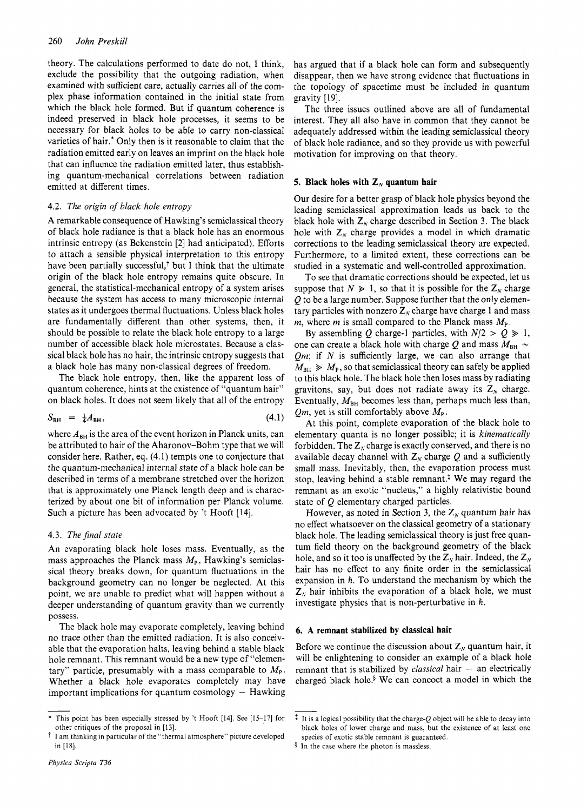theory. The calculations performed to date do not, I think, exclude the possibility that the outgoing radiation, when examined with sufficient care, actually carries all of the complex phase information contained in the initial state from which the black hole formed. But if quantum coherence is indeed preserved in black hole processes, it seems to be necessary for black holes to be able to carry non-classical varieties of hair.' Only then is it reasonable to claim that the radiation emitted early on leaves an imprint on the black hole that can influence the radiation emitted later, thus establishing quantum-mechanical correlations between radiation emitted at different times.

# **4.2.** *The origin of black hole entropy*

A remarkable consequence of Hawking's semiclassical theory of black hole radiance is that a black hole has an enormous intrinsic entropy (as Bekenstein [2] had anticipated). Efforts to attach a sensible physical interpretation to this entropy have been partially successful, $\dagger$  but I think that the ultimate origin of the black hole entropy remains quite obscure. In general, the statistical-mechanical entropy of a system arises because the system has access to many microscopic internal states as it undergoes thermal fluctuations. Unless black holes are fundamentally different than other systems, then, it should be possible to relate the black hole entropy to a large number of accessible black hole microstates. Because a classical black hole has no hair, the intrinsic entropy suggests that a black hole has many non-classical degrees of freedom.

The black hole entropy, then, like the apparent loss of quantum coherence, hints at the existence of "quantum hair" on black holes. It does not seem likely that all of the entropy

$$
S_{\rm BH} = \frac{1}{4} A_{\rm BH}, \tag{4.1}
$$

where  $A_{BH}$  is the area of the event horizon in Planck units, can be attributed to hair of the Aharonov-Bohm type that we will consider here. Rather, eq. (4.1) tempts one to conjecture that the quantum-mechanical internal state of a black hole can be described in terms of a membrane stretched over the horizon that is approximately one Planck length deep and is characterized by about one bit of information per Planck volume. Such a picture has been advocated by 't Hooft [14].

# 4.3. The final state

An evaporating black hole loses mass. Eventually, as the mass approaches the Planck mass  $M_{P}$ , Hawking's semiclassical theory breaks down, for quantum fluctuations in the background geometry can no longer be neglected. At this point, we are unable to predict what will happen without a deeper understanding of quantum gravity than we currently possess.

The black hole may evaporate completely, leaving behind no trace other than the emitted radiation. It is also conceivable that the evaporation halts, leaving behind a stable black hole remnant. This remnant would be a new type of "elementary" particle, presumably with a mass comparable to  $M_{\rm P}$ . Whether a black hole evaporates completely may have important implications for quantum cosmology  $-$  Hawking

has argued that if a black hole can form and subsequently disappear, then we have strong evidence that fluctuations in the topology of spacetime must be included in quantum gravity [19].

The three issues outlined above are all of fundamental interest. They all also have in common that they cannot be adequately addressed within the leading semiclassical theory of black hole radiance, and so they provide us with powerful motivation for improving on that theory.

### **5. Black holes with**  $Z_N$  **quantum hair**

Our desire for a better grasp of black hole physics beyond the leading semiclassical approximation leads us back to the black hole with  $Z_N$  charge described in Section 3. The black hole with  $Z_{N}$  charge provides a model in which dramatic corrections to the leading semiclassical theory are expected. Furthermore, to a limited extent, these corrections can be studied in a systematic and well-controlled approximation.

To see that dramatic corrections should be expected, let us suppose that  $N \ge 1$ , so that it is possible for the  $Z_N$  charge *Q* to be a large number. Suppose further that the only elementary particles with nonzero  $Z_N$  charge have charge 1 and mass *m*, where *m* is small compared to the Planck mass  $M_{P}$ .

By assembling Q charge-1 particles, with  $N/2 > Q \ge 1$ , one can create a black hole with charge Q and mass  $M_{BH} \sim$ *Qm;* if *N* is sufficiently large, we can also arrange that  $M_{\text{BH}} \gg M_{\text{P}}$ , so that semiclassical theory can safely be applied to this black hole. The black hole then loses mass by radiating gravitons, say, but does not radiate away its  $Z_N$  charge. Eventually,  $M<sub>BH</sub>$  becomes less than, perhaps much less than, *Qm*, yet is still comfortably above  $M_{\text{P}}$ .

At this point, complete evaporation of the black hole to elementary quanta is no longer possible; it is *kinematically*  forbidden. The  $Z_N$  charge is exactly conserved, and there is no available decay channel with  $Z_N$  charge  $Q$  and a sufficiently small mass. Inevitably, then, the evaporation process must stop, leaving behind a stable remnant.<sup> $\ddagger$ </sup> We may regard the remnant as an exotic "nucleus," a highly relativistic bound state of Q elementary charged particles.

However, as noted in Section 3, the  $Z_N$  quantum hair has no effect whatsoever on the classical geometry of a stationary black hole. The leading semiclassical theory is just free quantum field theory on the background geometry of the black hole, and so it too is unaffected by the  $Z_N$  hair. Indeed, the  $Z_N$ hair has no effect to any finite order in the semiclassical expansion in *h.* To understand the mechanism by which the  $Z<sub>N</sub>$  hair inhibits the evaporation of a black hole, we must investigate physics that is non-perturbative in *h.* 

#### **6. A remnant stabilized by classical hair**

Before we continue the discussion about  $Z_N$  quantum hair, it will be enlightening to consider an example of a black hole remnant that is stabilized by *classical* hair - an electrically charged black hole.§ We can concoct a model in which the

<sup>\*</sup> This point has been especially stressed by 't Hooft [14]. See [15-171 for other critiques of the proposal in [13].

 $\dagger$  I am thinking in particular of the "thermal atmosphere" picture developed in [18].

 $\ddot{*}$  It is a logical possibility that the charge-Q object will be able to decay into black holes of lower charge and mass, but the existence of at least one species of exotic stable remnant is guaranteed.

**<sup>4</sup>** In the case where the photon is massless.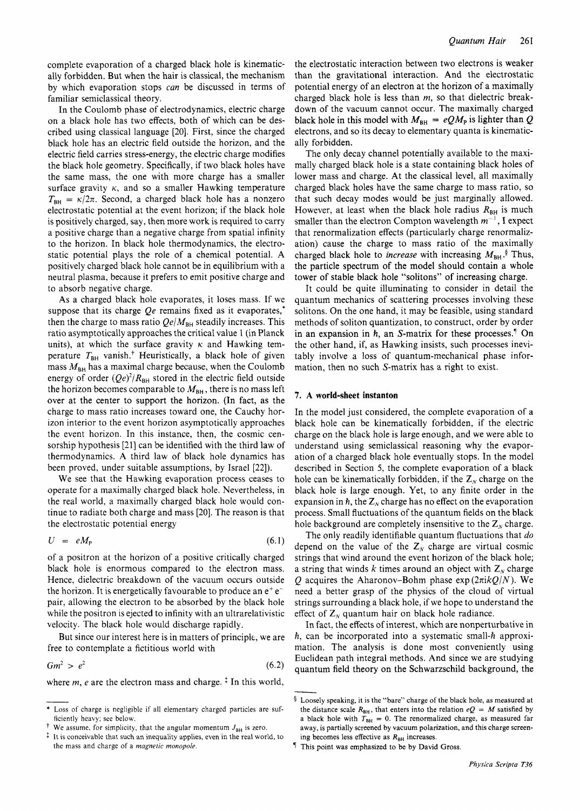complete evaporation of a charged black hole is kinematically forbidden. But when the hair is classical, the mechanism by which evaporation stops *can* be discussed in terms of familiar semiclassical theory.

In the Coulomb phase of electrodynamics, electric charge on a black hole has two effects, both of which can be described using classical language [20]. First, since the charged black hole has an electric field outside the horizon, and the electric field carries stress-energy, the electric charge modifies the black hole geometry. Specifically, if two black holes have the same mass, the one with more charge has a smaller surface gravity  $\kappa$ , and so a smaller Hawking temperature  $T_{BH} = \kappa/2\pi$ . Second, a charged black hole has a nonzero electrostatic potential at the event horizon; if the black hole is positively charged, say, then more work is required to carry a positive charge than a negative charge from spatial infinity to the horizon. In black hole thermodynamics, the electrostatic potential plays the role of a chemical potential. A positively charged black hole cannot be in equilibrium with a neutral plasma, because it prefers to emit positive charge and to absorb negative charge.

As a charged black hole evaporates, it loses mass. If we suppose that its charge *Qe* remains fixed as it evaporates,<sup>\*</sup> then the charge to mass ratio  $Qe/M_{BH}$  steadily increases. This ratio asymptotically approaches the critical value 1 (in Planck units), at which the surface gravity  $\kappa$  and Hawking temperature  $T<sub>BH</sub>$  vanish.<sup>†</sup> Heuristically, a black hole of given mass  $M_{BH}$  has a maximal charge because, when the Coulomb energy of order  $(Qe)^2/R_{BH}$  stored in the electric field outside the horizon becomes comparable to  $M_{BH}$ , there is no mass left over at the center to support the horizon. (In fact, as the charge to mass ratio increases toward one, the Cauchy horizon interior to the event horizon asymptotically approaches the event horizon. In this instance, then, the cosmic censorship hypothesis [21] can be identified with the third law of thermodynamics. A third law of black hole dynamics has been proved, under suitable assumptions, by Israel [22]).

We see that the Hawking evaporation process ceases to operate for a maximally charged black hole. Nevertheless, in the real world, a maximally charged black hole would continue to radiate both charge and mass [20]. The reason is that the electrostatic potential energy

$$
U = eM_{\rm P} \tag{6.1}
$$

of a positron at the horizon of a positive critically charged black hole is enormous compared to the electron mass. Hence, dielectric breakdown of the vacuum occurs outside the horizon. It is energetically favourable to produce an  $e^+e^$ pair, allowing the electron to be absorbed by the black hole while the positron is ejected to infinity with an ultrarelativistic velocity. The black hole would discharge rapidly.

But since our interest here is in matters of principle, we are free to contemplate a fictitious world with

$$
Gm^2 > e^2 \tag{6.2}
$$

where  $m$ ,  $e$  are the electron mass and charge.<sup> $\ddagger$ </sup> In this world,

the electrostatic interaction between two electrons is weaker than the gravitational interaction. And the electrostatic potential energy of an electron at the horizon of a maximally charged black hole is less than *m,* so that dielectric breakdown of the vacuum cannot occur. The maximally charged black hole in this model with  $M_{\text{BH}} = eQ M_{\text{P}}$  is lighter than Q electrons, and so its decay to elementary quanta is kinematically forbidden.

The only decay channel potentially available to the maximally charged black hole is a state containing black holes of lower mass and charge. At the classical level, all maximally charged black holes have the same charge to mass ratio, so that such decay modes would be just marginally allowed. However, at least when the black hole radius  $R_{BH}$  is much smaller than the electron Compton wavelength  $m^{-1}$ , I expect that renormalization effects (particularly charge renormalization) cause the charge to mass ratio of the maximally charged black hole to *increase* with increasing  $M_{BH}$ <sup>§</sup> Thus, the particle spectrum of the model should contain a whole tower of stable black hole "solitons" of increasing charge.

It could be quite illuminating to consider in detail the quantum mechanics of scattering processes involving these solitons. On the one hand, it may be feasible, using standard methods of soliton quantization, to construct, order by order in an expansion in  $h$ , an S-matrix for these processes.<sup>1</sup> On the other hand, if, as Hawking insists, such processes inevitably involve a loss of quantum-mechanical phase information, then no such S-matrix has a right to exist.

# **7. A world-sheet instanton**

In the model just considered, the complete evaporation of a black hole can be kinematically forbidden, if the electric charge on the black hole is large enough, and we were able to understand using semiclassical reasoning why the evaporation of a charged black hole eventually stops. In the model described in Section 5, the complete evaporation of a black hole can be kinematically forbidden, if the  $Z_N$  charge on the black hole is large enough. Yet, to any finite order in the expansion in  $\hbar$ , the  $Z_N$  charge has no effect on the evaporation process. Small fluctuations of the quantum fields on the black hole background are completely insensitive to the  $Z_N$  charge.

The only readily identifiable quantum fluctuations that *do*  depend on the value of the  $Z_N$  charge are virtual cosmic strings that wind around the event horizon of the black hole; a string that winds k times around an object with  $Z_N$  charge Q acquires the Aharonov-Bohm phase  $\exp(2\pi i kQ/N)$ . We need a better grasp of the physics of the cloud of virtual strings surrounding a black hole, if we hope to understand the effect of  $Z_N$  quantum hair on black hole radiance.

In fact, the effects of interest, which are nonperturbative in  $\hbar$ , can be incorporated into a systematic small- $\hbar$  approximation. The analysis is done most conveniently using Euclidean path integral methods. And since we are studying quantum field theory on the Schwarzschild background, the *h*, can be incorporated into a systematic small-*h* approximation. The analysis is done most conveniently using Euclidean path integral methods. And since we are studying quantum field theory on the Schwarzschild backgro

<sup>\*</sup> Loss of charge is negligible if all elementary charged particles are **suf**ficiently heavy; see below.

We assume, for simplicity, that the angular momentum  $J_{\text{BH}}$  is zero.

 $\ddagger$  It is conceivable that such an inequality applies, even in the real world, to the mass and charge of a *magnetic monopole.* 

the distance scale  $R_{BH}$ , that enters into the relation  $eQ = M$  satisfied by a black hole with  $T_{BH} = 0$ . The renormalized charge, as measured far away, is partially screened by vacuum polarization, and this charge screening becomes less effective as  $R_{BH}$  increases.

This point was emphasized to be by David Gross.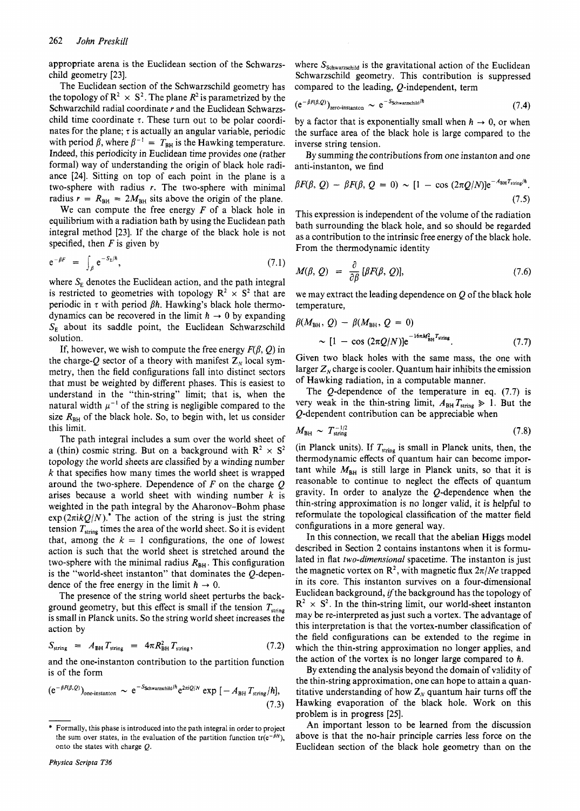appropriate arena is the Euclidean section of the Schwarzschild geometry [23].

The Euclidean section of the Schwarzschild geometry has the topology of  $\mathbb{R}^2 \times \mathbb{S}^2$ . The plane  $\mathbb{R}^2$  is parametrized by the Schwarzchild radial coordinate *r* and the Euclidean Schwarzschild time coordinate  $\tau$ . These turn out to be polar coordinates for the plane;  $\tau$  is actually an angular variable, periodic with period  $\beta$ , where  $\beta^{-1} = T_{BH}$  is the Hawking temperature. Indeed, this periodicity in Euclidean time provides one (rather formal) way of understanding the origin of black hole radiance [24]. Sitting on top of each point in the plane is a two-sphere with radius *r.* The two-sphere with minimal radius  $r = R<sub>BH</sub> = 2M<sub>BH</sub>$  sits above the origin of the plane.

We can compute the free energy *F* of a black hole in equilibrium with a radiation bath by using the Euclidean path integral method [23]. If the charge of the black hole is not specified, then *F* is given by

$$
e^{-\beta F} = \int_{\beta} e^{-S_E/\hbar}, \qquad (7.1)
$$

where  $S<sub>E</sub>$  denotes the Euclidean action, and the path integral is restricted to geometries with topology  $\mathbb{R}^2 \times \mathbb{S}^2$  that are periodic in  $\tau$  with period  $\beta h$ . Hawking's black hole thermodynamics can be recovered in the limit  $h \rightarrow 0$  by expanding  $S<sub>E</sub>$  about its saddle point, the Euclidean Schwarzschild solution.

If, however, we wish to compute the free energy  $F(\beta, Q)$  in the charge-Q sector of a theory with manifest  $Z_N$  local symmetry, then the field configurations fall into distinct sectors that must be weighted by different phases. This is easiest to understand in the "thin-string'' limit; that is, when the natural width  $\mu^{-1}$  of the string is negligible compared to the size  $R_{BH}$  of the black hole. So, to begin with, let us consider this limit.

The path integral includes a sum over the world sheet of a (thin) cosmic string. But on a background with  $\mathbb{R}^2 \times \mathbb{S}^2$ topology the world sheets are classified by a winding number *k* that specifies how many times the world sheet is wrapped around the two-sphere. Dependence of *F* on the charge Q arises because a world sheet with winding number *k* is weighted in the path integral by the Aharonov-Bohm phase  $\exp(2\pi i kQ/N)$ .<sup>\*</sup> The action of the string is just the string tension  $T_{\text{string}}$  times the area of the world sheet. So it is evident that, among the  $k = 1$  configurations, the one of lowest action is such that the world sheet is stretched around the two-sphere with the minimal radius  $R_{BH}$ . This configuration is the "world-sheet instanton" that dominates the Q-dependence of the free energy in the limit  $h \to 0$ .

The presence of the string world sheet perturbs the background geometry, but this effect is small if the tension  $T_{\text{string}}$ is small in Planck units. So the string world sheet increases the action by

$$
S_{\text{string}} = A_{\text{BH}} T_{\text{string}} = 4\pi R_{\text{BH}}^2 T_{\text{string}}, \qquad (7.2)
$$

and the one-instanton contribution to the partition function is of the form

and the one-instanton contribution to the partition function  
is of the form  

$$
(e^{-\beta F(\beta,Q)})_{\text{one-instanton}} \sim e^{-S_{\text{Schwarzschild}}/\hbar} e^{2\pi i Q/N} \exp[-A_{\text{BH}} T_{\text{string}}/\hbar],
$$
  
(7.3)  
  
\* Formally, this phase is introduced into the path integral in order to project  
the sum of the part of the part-  
ble.

*Physica Scripta T36* 

where  $S_{\text{Schwarzschild}}$  is the gravitational action of the Euclidean Schwarzschild geometry. This contribution is suppressed compared to the leading, Q-independent, term

$$
(e^{-\beta F(\beta,Q)})_{zero\text{-instanton}} \sim e^{-S_{\text{Schwarzschild}}/h} \tag{7.4}
$$

by a factor that is exponentially small when  $h \to 0$ , or when the surface area of the black hole is large compared to the inverse string tension.

By summing the contributions from one instanton and one anti-instanton, we find

$$
\beta F(\beta, Q) - \beta F(\beta, Q = 0) \sim [1 - \cos(2\pi Q/N)] e^{-A_{\text{BH}} T_{\text{string}}/h}.
$$
\n(7.5)

This expression is independent of the volume of the radiation bath surrounding the black hole, and so should be regarded as a contribution to the intrinsic free energy of the black hole. From the thermodynamic identity

$$
M(\beta, Q) = \frac{\partial}{\partial \beta} [\beta F(\beta, Q)], \qquad (7.6)
$$

we may extract the leading dependence on  $Q$  of the black hole temperature,

$$
\beta(M_{\text{BH}}, Q) - \beta(M_{\text{BH}}, Q = 0)
$$
  
~ [1 - \cos (2\pi Q/N)]e<sup>-16\pi M\_{\text{BH}}^2 T\_{\text{string}}. (7.7)</sup>

Given two black holes with the same mass, the one with larger  $Z_N$  charge is cooler. Quantum hair inhibits the emission of Hawking radiation, in a computable manner.

The Q-dependence of the temperature in eq. (7.7) is very weak in the thin-string limit,  $A_{BH}T_{string} \geq 1$ . But the Q-dependent contribution can be appreciable when

$$
M_{\rm BH} \sim T_{\rm string}^{-1/2} \tag{7.8}
$$

(in Planck units). If  $T_{\text{string}}$  is small in Planck units, then, the thermodynamic effects of quantum hair can become important while  $M_{BH}$  is still large in Planck units, so that it is reasonable to continue to neglect the effects of quantum gravity. In order to analyze the  $Q$ -dependence when the thin-string approximation is no longer valid, it is helpful to reformulate the topological classification of the matter field configurations in a more general way.

In this connection, we recall that the abelian Higgs model described in Section 2 contains instantons when it is formulated in flat *two-dimensional* spacetime. The instanton is just the magnetic vortex on  $\mathbb{R}^2$ , with magnetic flux  $2\pi/N_e$  trapped in its core. This instanton survives on a four-dimensional Euclidean background, if the background has the topology of  $\mathbb{R}^2 \times \mathbb{S}^2$ . In the thin-string limit, our world-sheet instanton may be re-interpreted as just such a vortex. The advantage of this interpretation is that the vortex-number classification of the field configurations can be extended to the regime in which the thin-string approximation no longer applies, and the action of the vortex is no longer large compared to h.

By extending the analysis beyond the domain of validity of the thin-string approximation, one can hope to attain a quantitative understanding of how  $Z_N$  quantum hair turns off the Hawking evaporation of the black hole. Work on this problem is in progress [25].

An important lesson to be learned from the discussion above is that the no-hair principle carries less force on the Euclidean section of the black hole geometry than on the

<sup>\*</sup> Formally, this phase is introduced into the path integral in order to project the sum over states, in the evaluation of the partition function  $tr(e^{-\beta H})$ , onto the states with charge *Q.*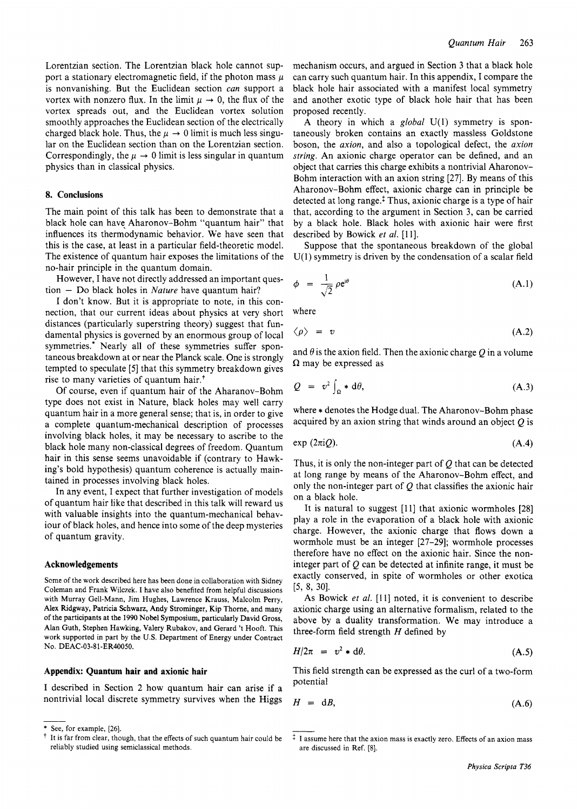Lorentzian section. The Lorentzian black hole cannot support a stationary electromagnetic field, if the photon mass  $\mu$ is nonvanishing. But the Euclidean section *can* support a vortex with nonzero flux. In the limit  $\mu \to 0$ , the flux of the vortex spreads out, and the Euclidean vortex solution smoothly approaches the Euclidean section of the electrically charged black hole. Thus, the  $\mu \to 0$  limit is much less singular on the Euclidean section than on the Lorentzian section. Correspondingly, the  $\mu \rightarrow 0$  limit is less singular in quantum physics than in classical physics.

# **8. Conclusions**

The main point of this talk has been to demonstrate that a black hole can have Aharonov-Bohm "quantum hair" that influences its thermodynamic behavior. We have seen that this is the case, at least in a particular field-theoretic model. The existence of quantum hair exposes the limitations of the no-hair principle in the quantum domain.

However, I have not directly addressed an important question - Do black holes in *Nature* have quantum hair?

I don't know. But it is appropriate to note, in this connection, that our current ideas about physics at very short distances (particularly superstring theory) suggest that fundamental physics is governed by an enormous group of local symmetries.<sup>\*</sup> Nearly all of these symmetries suffer spontaneous breakdown at or near the Planck scale. One is strongly tempted to speculate [5] that this symmetry breakdown gives rise to many varieties of quantum hair.<sup>+</sup>

Of course, even if quantum hair of the Aharanov-Bohm type does not exist in Nature, black holes may well carry quantum hair in a more general sense; that is, in order to give a complete quantum-mechanical description of processes involving black holes, it may be necessary to ascribe to the black hole many non-classical degrees of freedom. Quantum hair in this sense seems unavoidable if (contrary to Hawking's bold hypothesis) quantum coherence is actually maintained in processes involving black holes.

In any event, I expect that further investigation of models of quantum hair like that described in this talk will reward us with valuable insights into the quantum-mechanical behaviour of black holes, and hence into some of the deep mysteries of quantum gravity.

#### **Acknowledgements**

Scme of the work described here has been done in collaboration with Sidney Coleman and Frank Wilczek. I have also benefited from helpful discussions with Murray Gell-Mann, Jim Hughes, Lawrence Krauss, Malcolm Perry, **Alex** Ridgway, Patricia Schwarz, Andy Strominger, Kip Thome, and many of the participants at the 1990 Nobel Symposium, particularly David Gross, Alan Guth, Stephen Hawking, Valery Rubakov, and Gerard 't Hooft. This work supported in part by the **U.S.** Department of Energy under Contract NO. DEAC-03-8 1-ER40050.

# **Appendix: Quantum hair and axionic hair**

I described in Section 2 how quantum hair can arise if a nontrivial local discrete symmetry survives when the Higgs

mechanism occurs, and argued in Section 3 that a black hole can carry such quantum hair. In this appendix, I compare the black hole hair associated with a manifest local symmetry and another exotic type of black hole hair that has been proposed recently.

A theory in which a *global* U(l) symmetry is spontaneously broken contains an exactly massless Goldstone boson, the *axion,* and also a topological defect, the *axion string.* An axionic charge operator can be defined, and an object that carries this charge exhibits a nontrivial Aharonov-Bohm interaction with an axion string [27]. By means of this Aharonov-Bohm effect, axionic charge can in principle be detected at long range. $\frac{1}{x}$  Thus, axionic charge is a type of hair that, according to the argument in Section 3, can be carried by a black hole. Black holes with axionic hair were first described by Bowick et al. [11].

Suppose that the spontaneous breakdown of the global  $U(1)$  symmetry is driven by the condensation of a scalar field

$$
\phi = \frac{1}{\sqrt{2}} \rho e^{i\theta} \tag{A.1}
$$

where

$$
\langle \rho \rangle = v \tag{A.2}
$$

and  $\theta$  is the axion field. Then the axionic charge O in a volume  $\Omega$  may be expressed as

$$
Q = v^2 \int_{\Omega} * d\theta, \tag{A.3}
$$

where  $*$  denotes the Hodge dual. The Aharonov-Bohm phase acquired by an axion string that winds around an object  $Q$  is

$$
\exp(2\pi i Q). \tag{A.4}
$$

Thus, it is only the non-integer part of  $Q$  that can be detected at long range by means of the Aharonov-Bohm effect, and only the non-integer part of  $Q$  that classifies the axionic hair on a black hole.

It is natural to suggest [11] that axionic wormholes [28] play a role in the evaporation of a black hole with axionic charge. However, the axionic charge that flows down a wormhole must be an integer [27-29]; wormhole processes therefore have no effect on the axionic hair. Since the noninteger part of Q can be detected at infinite range, it must be exactly conserved, in spite of wormholes or other exotica [5, 8, 30].

As Bowick et al. [11] noted, it is convenient to describe axionic charge using an alternative formalism, related to the above by a duality transformation. We may introduce a three-form field strength *H* defined by

$$
H/2\pi = v^2 * d\theta. \tag{A.5}
$$

This field strength can be expressed as the curl of a two-form potential

$$
H = dB, \tag{A.6}
$$

See, for example, [26].

 $\dagger$  It is far from clear, though, that the effects of such quantum hair could be reliably studied using semiclassical methods.

 $\ddagger$  I assume here that the axion mass is exactly zero. Effects of an axion mass are discussed in Ref. [8].